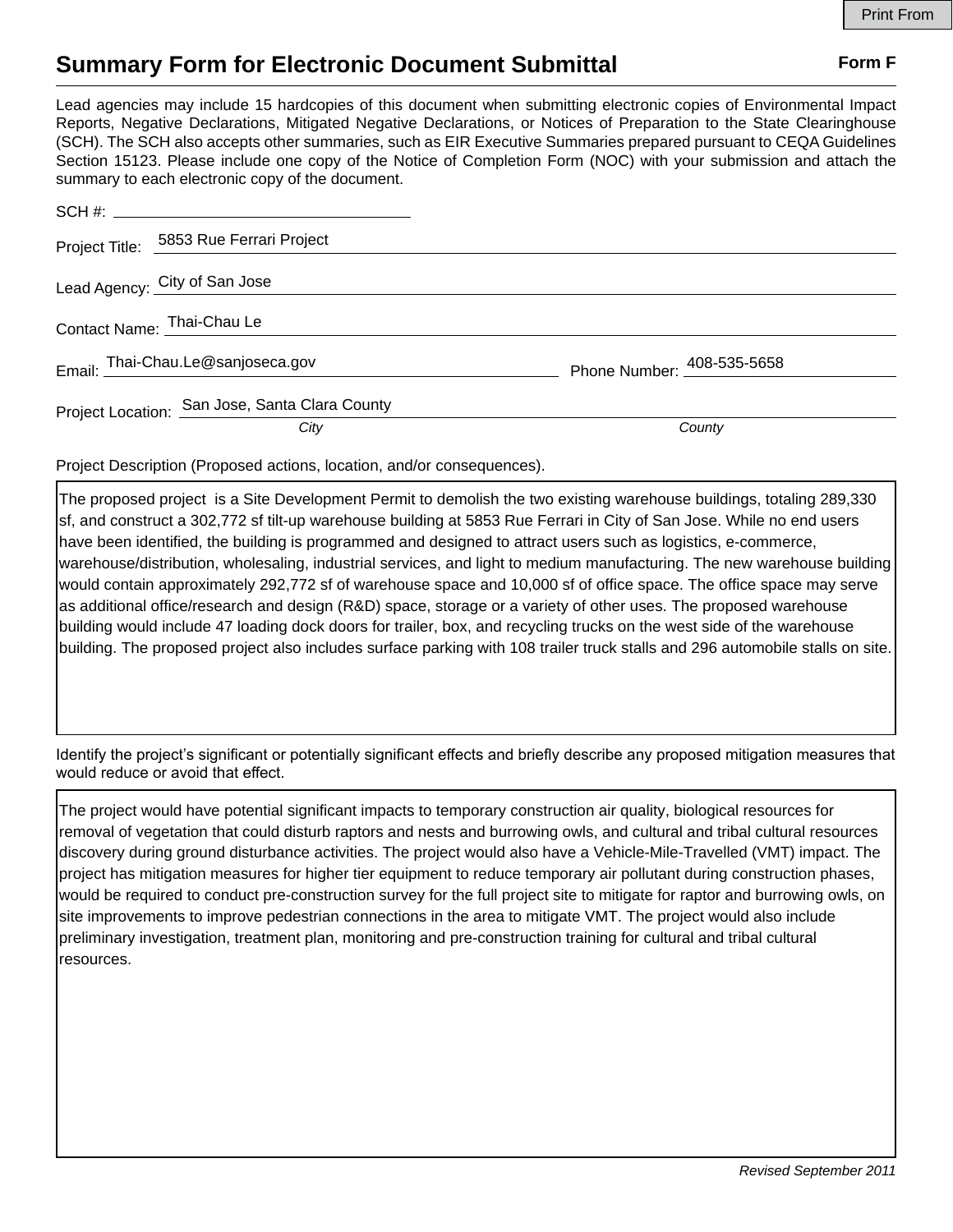## **Summary Form for Electronic Document Submittal Form F Form F**

Lead agencies may include 15 hardcopies of this document when submitting electronic copies of Environmental Impact Reports, Negative Declarations, Mitigated Negative Declarations, or Notices of Preparation to the State Clearinghouse (SCH). The SCH also accepts other summaries, such as EIR Executive Summaries prepared pursuant to CEQA Guidelines Section 15123. Please include one copy of the Notice of Completion Form (NOC) with your submission and attach the summary to each electronic copy of the document.

|                            | Project Title: 5853 Rue Ferrari Project        |                            |
|----------------------------|------------------------------------------------|----------------------------|
|                            | Lead Agency: City of San Jose                  |                            |
| Contact Name: Thai-Chau Le |                                                |                            |
|                            | Email: Thai-Chau.Le@sanjoseca.gov              | Phone Number: 408-535-5658 |
|                            | Project Location: San Jose, Santa Clara County |                            |
|                            | City                                           | County                     |

Project Description (Proposed actions, location, and/or consequences).

The proposed project is a Site Development Permit to demolish the two existing warehouse buildings, totaling 289,330 sf, and construct a 302,772 sf tilt-up warehouse building at 5853 Rue Ferrari in City of San Jose. While no end users have been identified, the building is programmed and designed to attract users such as logistics, e-commerce, warehouse/distribution, wholesaling, industrial services, and light to medium manufacturing. The new warehouse building would contain approximately 292,772 sf of warehouse space and 10,000 sf of office space. The office space may serve as additional office/research and design (R&D) space, storage or a variety of other uses. The proposed warehouse building would include 47 loading dock doors for trailer, box, and recycling trucks on the west side of the warehouse building. The proposed project also includes surface parking with 108 trailer truck stalls and 296 automobile stalls on site.

Identify the project's significant or potentially significant effects and briefly describe any proposed mitigation measures that would reduce or avoid that effect.

The project would have potential significant impacts to temporary construction air quality, biological resources for removal of vegetation that could disturb raptors and nests and burrowing owls, and cultural and tribal cultural resources discovery during ground disturbance activities. The project would also have a Vehicle-Mile-Travelled (VMT) impact. The project has mitigation measures for higher tier equipment to reduce temporary air pollutant during construction phases, would be required to conduct pre-construction survey for the full project site to mitigate for raptor and burrowing owls, on site improvements to improve pedestrian connections in the area to mitigate VMT. The project would also include preliminary investigation, treatment plan, monitoring and pre-construction training for cultural and tribal cultural resources.